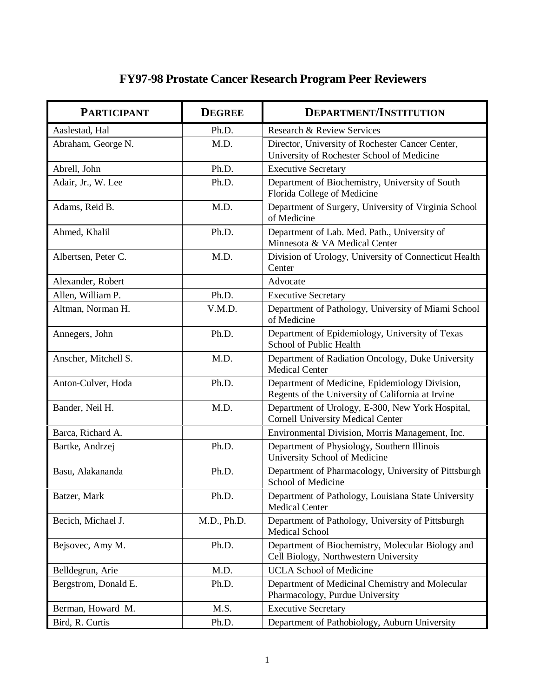## **FY97-98 Prostate Cancer Research Program Peer Reviewers**

| <b>PARTICIPANT</b>   | <b>DEGREE</b> | <b>DEPARTMENT/INSTITUTION</b>                                                                       |
|----------------------|---------------|-----------------------------------------------------------------------------------------------------|
| Aaslestad, Hal       | Ph.D.         | Research & Review Services                                                                          |
| Abraham, George N.   | M.D.          | Director, University of Rochester Cancer Center,<br>University of Rochester School of Medicine      |
| Abrell, John         | Ph.D.         | <b>Executive Secretary</b>                                                                          |
| Adair, Jr., W. Lee   | Ph.D.         | Department of Biochemistry, University of South<br>Florida College of Medicine                      |
| Adams, Reid B.       | M.D.          | Department of Surgery, University of Virginia School<br>of Medicine                                 |
| Ahmed, Khalil        | Ph.D.         | Department of Lab. Med. Path., University of<br>Minnesota & VA Medical Center                       |
| Albertsen, Peter C.  | M.D.          | Division of Urology, University of Connecticut Health<br>Center                                     |
| Alexander, Robert    |               | Advocate                                                                                            |
| Allen, William P.    | Ph.D.         | <b>Executive Secretary</b>                                                                          |
| Altman, Norman H.    | V.M.D.        | Department of Pathology, University of Miami School<br>of Medicine                                  |
| Annegers, John       | Ph.D.         | Department of Epidemiology, University of Texas<br>School of Public Health                          |
| Anscher, Mitchell S. | M.D.          | Department of Radiation Oncology, Duke University<br><b>Medical Center</b>                          |
| Anton-Culver, Hoda   | Ph.D.         | Department of Medicine, Epidemiology Division,<br>Regents of the University of California at Irvine |
| Bander, Neil H.      | M.D.          | Department of Urology, E-300, New York Hospital,<br><b>Cornell University Medical Center</b>        |
| Barca, Richard A.    |               | Environmental Division, Morris Management, Inc.                                                     |
| Bartke, Andrzej      | Ph.D.         | Department of Physiology, Southern Illinois<br>University School of Medicine                        |
| Basu, Alakananda     | Ph.D.         | Department of Pharmacology, University of Pittsburgh<br>School of Medicine                          |
| Batzer, Mark         | Ph.D.         | Department of Pathology, Louisiana State University<br><b>Medical Center</b>                        |
| Becich, Michael J.   | M.D., Ph.D.   | Department of Pathology, University of Pittsburgh<br>Medical School                                 |
| Bejsovec, Amy M.     | Ph.D.         | Department of Biochemistry, Molecular Biology and<br>Cell Biology, Northwestern University          |
| Belldegrun, Arie     | M.D.          | <b>UCLA School of Medicine</b>                                                                      |
| Bergstrom, Donald E. | Ph.D.         | Department of Medicinal Chemistry and Molecular<br>Pharmacology, Purdue University                  |
| Berman, Howard M.    | M.S.          | <b>Executive Secretary</b>                                                                          |
| Bird, R. Curtis      | Ph.D.         | Department of Pathobiology, Auburn University                                                       |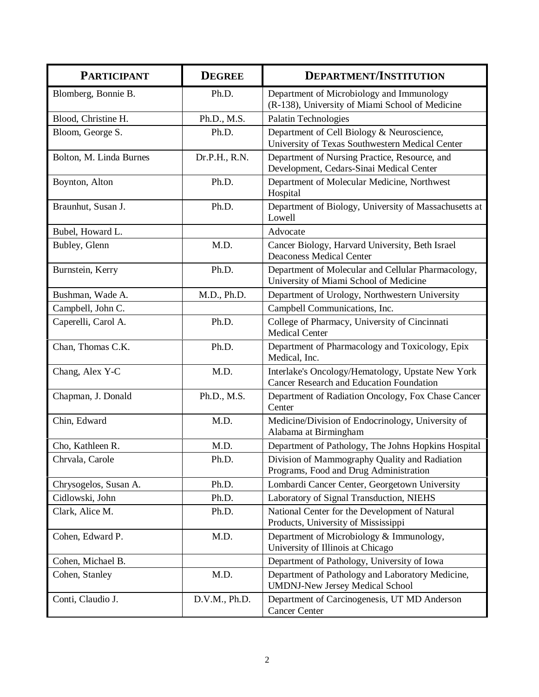| <b>PARTICIPANT</b>      | <b>DEGREE</b> | <b>DEPARTMENT/INSTITUTION</b>                                                                        |
|-------------------------|---------------|------------------------------------------------------------------------------------------------------|
| Blomberg, Bonnie B.     | Ph.D.         | Department of Microbiology and Immunology<br>(R-138), University of Miami School of Medicine         |
| Blood, Christine H.     | Ph.D., M.S.   | Palatin Technologies                                                                                 |
| Bloom, George S.        | Ph.D.         | Department of Cell Biology & Neuroscience,<br>University of Texas Southwestern Medical Center        |
| Bolton, M. Linda Burnes | Dr.P.H., R.N. | Department of Nursing Practice, Resource, and<br>Development, Cedars-Sinai Medical Center            |
| Boynton, Alton          | Ph.D.         | Department of Molecular Medicine, Northwest<br>Hospital                                              |
| Braunhut, Susan J.      | Ph.D.         | Department of Biology, University of Massachusetts at<br>Lowell                                      |
| Bubel, Howard L.        |               | Advocate                                                                                             |
| Bubley, Glenn           | M.D.          | Cancer Biology, Harvard University, Beth Israel<br><b>Deaconess Medical Center</b>                   |
| Burnstein, Kerry        | Ph.D.         | Department of Molecular and Cellular Pharmacology,<br>University of Miami School of Medicine         |
| Bushman, Wade A.        | M.D., Ph.D.   | Department of Urology, Northwestern University                                                       |
| Campbell, John C.       |               | Campbell Communications, Inc.                                                                        |
| Caperelli, Carol A.     | Ph.D.         | College of Pharmacy, University of Cincinnati<br><b>Medical Center</b>                               |
| Chan, Thomas C.K.       | Ph.D.         | Department of Pharmacology and Toxicology, Epix<br>Medical, Inc.                                     |
| Chang, Alex Y-C         | M.D.          | Interlake's Oncology/Hematology, Upstate New York<br><b>Cancer Research and Education Foundation</b> |
| Chapman, J. Donald      | Ph.D., M.S.   | Department of Radiation Oncology, Fox Chase Cancer<br>Center                                         |
| Chin, Edward            | M.D.          | Medicine/Division of Endocrinology, University of<br>Alabama at Birmingham                           |
| Cho, Kathleen R.        | M.D.          | Department of Pathology, The Johns Hopkins Hospital                                                  |
| Chrvala, Carole         | Ph.D.         | Division of Mammography Quality and Radiation<br>Programs, Food and Drug Administration              |
| Chrysogelos, Susan A.   | Ph.D.         | Lombardi Cancer Center, Georgetown University                                                        |
| Cidlowski, John         | Ph.D.         | Laboratory of Signal Transduction, NIEHS                                                             |
| Clark, Alice M.         | Ph.D.         | National Center for the Development of Natural<br>Products, University of Mississippi                |
| Cohen, Edward P.        | M.D.          | Department of Microbiology & Immunology,<br>University of Illinois at Chicago                        |
| Cohen, Michael B.       |               | Department of Pathology, University of Iowa                                                          |
| Cohen, Stanley          | M.D.          | Department of Pathology and Laboratory Medicine,<br><b>UMDNJ-New Jersey Medical School</b>           |
| Conti, Claudio J.       | D.V.M., Ph.D. | Department of Carcinogenesis, UT MD Anderson<br><b>Cancer Center</b>                                 |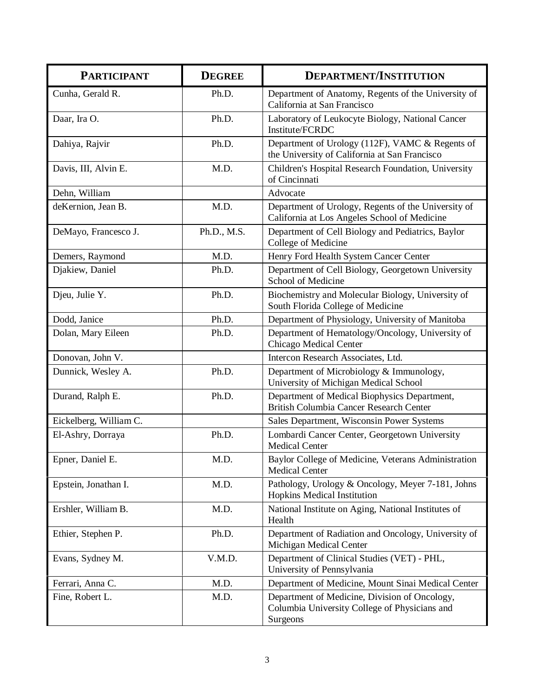| <b>PARTICIPANT</b>     | <b>DEGREE</b> | <b>DEPARTMENT/INSTITUTION</b>                                                                              |
|------------------------|---------------|------------------------------------------------------------------------------------------------------------|
| Cunha, Gerald R.       | Ph.D.         | Department of Anatomy, Regents of the University of<br>California at San Francisco                         |
| Daar, Ira O.           | Ph.D.         | Laboratory of Leukocyte Biology, National Cancer<br>Institute/FCRDC                                        |
| Dahiya, Rajvir         | Ph.D.         | Department of Urology (112F), VAMC & Regents of<br>the University of California at San Francisco           |
| Davis, III, Alvin E.   | M.D.          | Children's Hospital Research Foundation, University<br>of Cincinnati                                       |
| Dehn, William          |               | Advocate                                                                                                   |
| deKernion, Jean B.     | M.D.          | Department of Urology, Regents of the University of<br>California at Los Angeles School of Medicine        |
| DeMayo, Francesco J.   | Ph.D., M.S.   | Department of Cell Biology and Pediatrics, Baylor<br>College of Medicine                                   |
| Demers, Raymond        | M.D.          | Henry Ford Health System Cancer Center                                                                     |
| Djakiew, Daniel        | Ph.D.         | Department of Cell Biology, Georgetown University<br>School of Medicine                                    |
| Djeu, Julie Y.         | Ph.D.         | Biochemistry and Molecular Biology, University of<br>South Florida College of Medicine                     |
| Dodd, Janice           | Ph.D.         | Department of Physiology, University of Manitoba                                                           |
| Dolan, Mary Eileen     | Ph.D.         | Department of Hematology/Oncology, University of<br>Chicago Medical Center                                 |
| Donovan, John V.       |               | Intercon Research Associates, Ltd.                                                                         |
| Dunnick, Wesley A.     | Ph.D.         | Department of Microbiology & Immunology,<br>University of Michigan Medical School                          |
| Durand, Ralph E.       | Ph.D.         | Department of Medical Biophysics Department,<br>British Columbia Cancer Research Center                    |
| Eickelberg, William C. |               | Sales Department, Wisconsin Power Systems                                                                  |
| El-Ashry, Dorraya      | Ph.D.         | Lombardi Cancer Center, Georgetown University<br><b>Medical Center</b>                                     |
| Epner, Daniel E.       | M.D.          | Baylor College of Medicine, Veterans Administration<br><b>Medical Center</b>                               |
| Epstein, Jonathan I.   | M.D.          | Pathology, Urology & Oncology, Meyer 7-181, Johns<br>Hopkins Medical Institution                           |
| Ershler, William B.    | M.D.          | National Institute on Aging, National Institutes of<br>Health                                              |
| Ethier, Stephen P.     | Ph.D.         | Department of Radiation and Oncology, University of<br>Michigan Medical Center                             |
| Evans, Sydney M.       | V.M.D.        | Department of Clinical Studies (VET) - PHL,<br>University of Pennsylvania                                  |
| Ferrari, Anna C.       | M.D.          | Department of Medicine, Mount Sinai Medical Center                                                         |
| Fine, Robert L.        | M.D.          | Department of Medicine, Division of Oncology,<br>Columbia University College of Physicians and<br>Surgeons |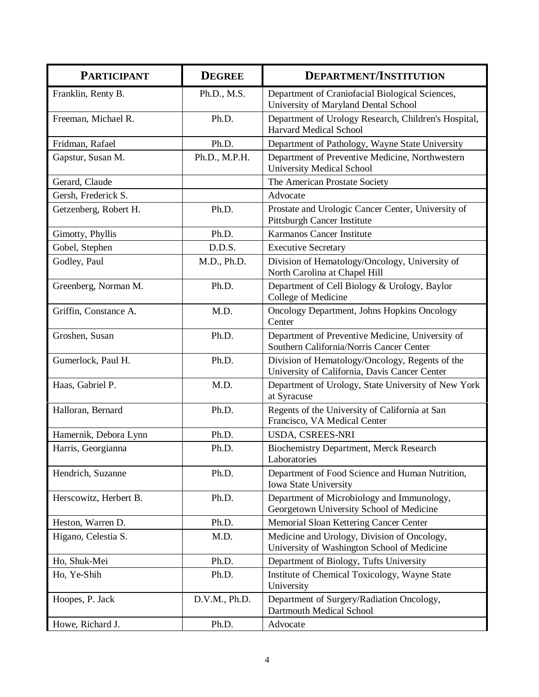| <b>PARTICIPANT</b>     | <b>DEGREE</b> | <b>DEPARTMENT/INSTITUTION</b>                                                                    |
|------------------------|---------------|--------------------------------------------------------------------------------------------------|
| Franklin, Renty B.     | Ph.D., M.S.   | Department of Craniofacial Biological Sciences,<br>University of Maryland Dental School          |
| Freeman, Michael R.    | Ph.D.         | Department of Urology Research, Children's Hospital,<br><b>Harvard Medical School</b>            |
| Fridman, Rafael        | Ph.D.         | Department of Pathology, Wayne State University                                                  |
| Gapstur, Susan M.      | Ph.D., M.P.H. | Department of Preventive Medicine, Northwestern<br><b>University Medical School</b>              |
| Gerard, Claude         |               | The American Prostate Society                                                                    |
| Gersh, Frederick S.    |               | Advocate                                                                                         |
| Getzenberg, Robert H.  | Ph.D.         | Prostate and Urologic Cancer Center, University of<br>Pittsburgh Cancer Institute                |
| Gimotty, Phyllis       | Ph.D.         | Karmanos Cancer Institute                                                                        |
| Gobel, Stephen         | D.D.S.        | <b>Executive Secretary</b>                                                                       |
| Godley, Paul           | M.D., Ph.D.   | Division of Hematology/Oncology, University of<br>North Carolina at Chapel Hill                  |
| Greenberg, Norman M.   | Ph.D.         | Department of Cell Biology & Urology, Baylor<br>College of Medicine                              |
| Griffin, Constance A.  | M.D.          | Oncology Department, Johns Hopkins Oncology<br>Center                                            |
| Groshen, Susan         | Ph.D.         | Department of Preventive Medicine, University of<br>Southern California/Norris Cancer Center     |
| Gumerlock, Paul H.     | Ph.D.         | Division of Hematology/Oncology, Regents of the<br>University of California, Davis Cancer Center |
| Haas, Gabriel P.       | M.D.          | Department of Urology, State University of New York<br>at Syracuse                               |
| Halloran, Bernard      | Ph.D.         | Regents of the University of California at San<br>Francisco, VA Medical Center                   |
| Hamernik, Debora Lynn  | Ph.D.         | USDA, CSREES-NRI                                                                                 |
| Harris, Georgianna     | Ph.D.         | <b>Biochemistry Department, Merck Research</b><br>Laboratories                                   |
| Hendrich, Suzanne      | Ph.D.         | Department of Food Science and Human Nutrition,<br>Iowa State University                         |
| Herscowitz, Herbert B. | Ph.D.         | Department of Microbiology and Immunology,<br>Georgetown University School of Medicine           |
| Heston, Warren D.      | Ph.D.         | Memorial Sloan Kettering Cancer Center                                                           |
| Higano, Celestia S.    | M.D.          | Medicine and Urology, Division of Oncology,<br>University of Washington School of Medicine       |
| Ho, Shuk-Mei           | Ph.D.         | Department of Biology, Tufts University                                                          |
| Ho, Ye-Shih            | Ph.D.         | Institute of Chemical Toxicology, Wayne State<br>University                                      |
| Hoopes, P. Jack        | D.V.M., Ph.D. | Department of Surgery/Radiation Oncology,<br>Dartmouth Medical School                            |
| Howe, Richard J.       | Ph.D.         | Advocate                                                                                         |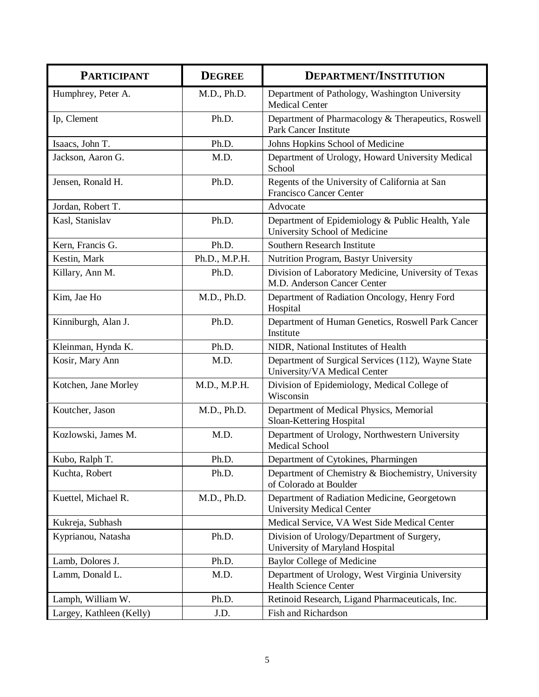| <b>PARTICIPANT</b>       | <b>DEGREE</b> | <b>DEPARTMENT/INSTITUTION</b>                                                       |
|--------------------------|---------------|-------------------------------------------------------------------------------------|
| Humphrey, Peter A.       | M.D., Ph.D.   | Department of Pathology, Washington University<br><b>Medical Center</b>             |
| Ip, Clement              | Ph.D.         | Department of Pharmacology & Therapeutics, Roswell<br>Park Cancer Institute         |
| Isaacs, John T.          | Ph.D.         | Johns Hopkins School of Medicine                                                    |
| Jackson, Aaron G.        | M.D.          | Department of Urology, Howard University Medical<br>School                          |
| Jensen, Ronald H.        | Ph.D.         | Regents of the University of California at San<br><b>Francisco Cancer Center</b>    |
| Jordan, Robert T.        |               | Advocate                                                                            |
| Kasl, Stanislav          | Ph.D.         | Department of Epidemiology & Public Health, Yale<br>University School of Medicine   |
| Kern, Francis G.         | Ph.D.         | Southern Research Institute                                                         |
| Kestin, Mark             | Ph.D., M.P.H. | Nutrition Program, Bastyr University                                                |
| Killary, Ann M.          | Ph.D.         | Division of Laboratory Medicine, University of Texas<br>M.D. Anderson Cancer Center |
| Kim, Jae Ho              | M.D., Ph.D.   | Department of Radiation Oncology, Henry Ford<br>Hospital                            |
| Kinniburgh, Alan J.      | Ph.D.         | Department of Human Genetics, Roswell Park Cancer<br>Institute                      |
| Kleinman, Hynda K.       | Ph.D.         | NIDR, National Institutes of Health                                                 |
| Kosir, Mary Ann          | M.D.          | Department of Surgical Services (112), Wayne State<br>University/VA Medical Center  |
| Kotchen, Jane Morley     | M.D., M.P.H.  | Division of Epidemiology, Medical College of<br>Wisconsin                           |
| Koutcher, Jason          | M.D., Ph.D.   | Department of Medical Physics, Memorial<br>Sloan-Kettering Hospital                 |
| Kozlowski, James M.      | M.D.          | Department of Urology, Northwestern University<br>Medical School                    |
| Kubo, Ralph T.           | Ph.D.         | Department of Cytokines, Pharmingen                                                 |
| Kuchta, Robert           | Ph.D.         | Department of Chemistry & Biochemistry, University<br>of Colorado at Boulder        |
| Kuettel, Michael R.      | M.D., Ph.D.   | Department of Radiation Medicine, Georgetown<br><b>University Medical Center</b>    |
| Kukreja, Subhash         |               | Medical Service, VA West Side Medical Center                                        |
| Kyprianou, Natasha       | Ph.D.         | Division of Urology/Department of Surgery,<br>University of Maryland Hospital       |
| Lamb, Dolores J.         | Ph.D.         | <b>Baylor College of Medicine</b>                                                   |
| Lamm, Donald L.          | M.D.          | Department of Urology, West Virginia University<br><b>Health Science Center</b>     |
| Lamph, William W.        | Ph.D.         | Retinoid Research, Ligand Pharmaceuticals, Inc.                                     |
| Largey, Kathleen (Kelly) | J.D.          | <b>Fish and Richardson</b>                                                          |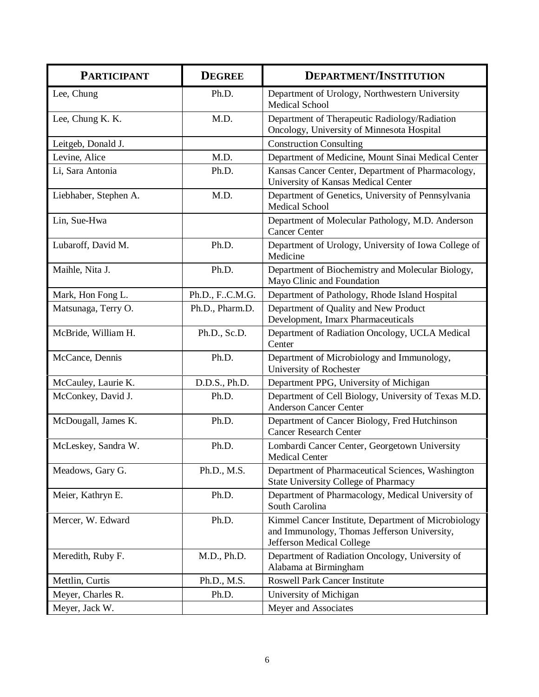| <b>PARTICIPANT</b>    | <b>DEGREE</b>   | <b>DEPARTMENT/INSTITUTION</b>                                                                                                    |
|-----------------------|-----------------|----------------------------------------------------------------------------------------------------------------------------------|
| Lee, Chung            | Ph.D.           | Department of Urology, Northwestern University<br>Medical School                                                                 |
| Lee, Chung K. K.      | M.D.            | Department of Therapeutic Radiology/Radiation<br>Oncology, University of Minnesota Hospital                                      |
| Leitgeb, Donald J.    |                 | <b>Construction Consulting</b>                                                                                                   |
| Levine, Alice         | M.D.            | Department of Medicine, Mount Sinai Medical Center                                                                               |
| Li, Sara Antonia      | Ph.D.           | Kansas Cancer Center, Department of Pharmacology,<br>University of Kansas Medical Center                                         |
| Liebhaber, Stephen A. | M.D.            | Department of Genetics, University of Pennsylvania<br><b>Medical School</b>                                                      |
| Lin, Sue-Hwa          |                 | Department of Molecular Pathology, M.D. Anderson<br><b>Cancer Center</b>                                                         |
| Lubaroff, David M.    | Ph.D.           | Department of Urology, University of Iowa College of<br>Medicine                                                                 |
| Maihle, Nita J.       | Ph.D.           | Department of Biochemistry and Molecular Biology,<br>Mayo Clinic and Foundation                                                  |
| Mark, Hon Fong L.     | Ph.D., FC.M.G.  | Department of Pathology, Rhode Island Hospital                                                                                   |
| Matsunaga, Terry O.   | Ph.D., Pharm.D. | Department of Quality and New Product<br>Development, Imarx Pharmaceuticals                                                      |
| McBride, William H.   | Ph.D., Sc.D.    | Department of Radiation Oncology, UCLA Medical<br>Center                                                                         |
| McCance, Dennis       | Ph.D.           | Department of Microbiology and Immunology,<br>University of Rochester                                                            |
| McCauley, Laurie K.   | D.D.S., Ph.D.   | Department PPG, University of Michigan                                                                                           |
| McConkey, David J.    | Ph.D.           | Department of Cell Biology, University of Texas M.D.<br><b>Anderson Cancer Center</b>                                            |
| McDougall, James K.   | Ph.D.           | Department of Cancer Biology, Fred Hutchinson<br><b>Cancer Research Center</b>                                                   |
| McLeskey, Sandra W.   | Ph.D.           | Lombardi Cancer Center, Georgetown University<br><b>Medical Center</b>                                                           |
| Meadows, Gary G.      | Ph.D., M.S.     | Department of Pharmaceutical Sciences, Washington<br><b>State University College of Pharmacy</b>                                 |
| Meier, Kathryn E.     | Ph.D.           | Department of Pharmacology, Medical University of<br>South Carolina                                                              |
| Mercer, W. Edward     | Ph.D.           | Kimmel Cancer Institute, Department of Microbiology<br>and Immunology, Thomas Jefferson University,<br>Jefferson Medical College |
| Meredith, Ruby F.     | M.D., Ph.D.     | Department of Radiation Oncology, University of<br>Alabama at Birmingham                                                         |
| Mettlin, Curtis       | Ph.D., M.S.     | <b>Roswell Park Cancer Institute</b>                                                                                             |
| Meyer, Charles R.     | Ph.D.           | University of Michigan                                                                                                           |
| Meyer, Jack W.        |                 | Meyer and Associates                                                                                                             |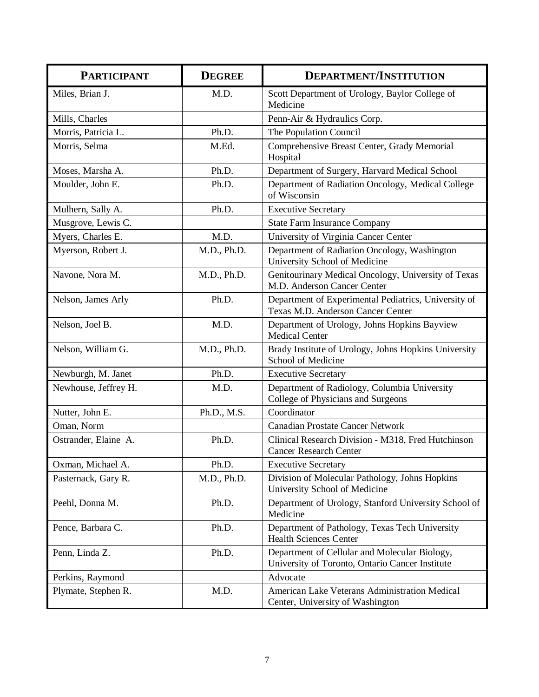| <b>PARTICIPANT</b>   | <b>DEGREE</b> | <b>DEPARTMENT/INSTITUTION</b>                                                                    |
|----------------------|---------------|--------------------------------------------------------------------------------------------------|
| Miles, Brian J.      | M.D.          | Scott Department of Urology, Baylor College of<br>Medicine                                       |
| Mills, Charles       |               | Penn-Air & Hydraulics Corp.                                                                      |
| Morris, Patricia L.  | Ph.D.         | The Population Council                                                                           |
| Morris, Selma        | M.Ed.         | Comprehensive Breast Center, Grady Memorial<br>Hospital                                          |
| Moses, Marsha A.     | Ph.D.         | Department of Surgery, Harvard Medical School                                                    |
| Moulder, John E.     | Ph.D.         | Department of Radiation Oncology, Medical College<br>of Wisconsin                                |
| Mulhern, Sally A.    | Ph.D.         | <b>Executive Secretary</b>                                                                       |
| Musgrove, Lewis C.   |               | <b>State Farm Insurance Company</b>                                                              |
| Myers, Charles E.    | M.D.          | University of Virginia Cancer Center                                                             |
| Myerson, Robert J.   | M.D., Ph.D.   | Department of Radiation Oncology, Washington<br>University School of Medicine                    |
| Navone, Nora M.      | M.D., Ph.D.   | Genitourinary Medical Oncology, University of Texas<br>M.D. Anderson Cancer Center               |
| Nelson, James Arly   | Ph.D.         | Department of Experimental Pediatrics, University of<br>Texas M.D. Anderson Cancer Center        |
| Nelson, Joel B.      | M.D.          | Department of Urology, Johns Hopkins Bayview<br><b>Medical Center</b>                            |
| Nelson, William G.   | M.D., Ph.D.   | Brady Institute of Urology, Johns Hopkins University<br>School of Medicine                       |
| Newburgh, M. Janet   | Ph.D.         | <b>Executive Secretary</b>                                                                       |
| Newhouse, Jeffrey H. | M.D.          | Department of Radiology, Columbia University<br>College of Physicians and Surgeons               |
| Nutter, John E.      | Ph.D., M.S.   | Coordinator                                                                                      |
| Oman, Norm           |               | <b>Canadian Prostate Cancer Network</b>                                                          |
| Ostrander, Elaine A. | Ph.D.         | Clinical Research Division - M318, Fred Hutchinson<br><b>Cancer Research Center</b>              |
| Oxman, Michael A.    | Ph.D.         | <b>Executive Secretary</b>                                                                       |
| Pasternack, Gary R.  | M.D., Ph.D.   | Division of Molecular Pathology, Johns Hopkins<br>University School of Medicine                  |
| Peehl, Donna M.      | Ph.D.         | Department of Urology, Stanford University School of<br>Medicine                                 |
| Pence, Barbara C.    | Ph.D.         | Department of Pathology, Texas Tech University<br><b>Health Sciences Center</b>                  |
| Penn, Linda Z.       | Ph.D.         | Department of Cellular and Molecular Biology,<br>University of Toronto, Ontario Cancer Institute |
| Perkins, Raymond     |               | Advocate                                                                                         |
| Plymate, Stephen R.  | M.D.          | American Lake Veterans Administration Medical<br>Center, University of Washington                |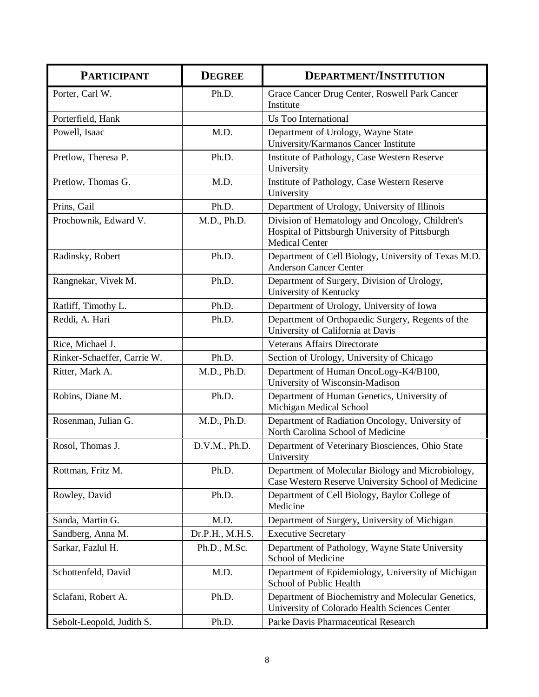| <b>PARTICIPANT</b>          | <b>DEGREE</b>   | <b>DEPARTMENT/INSTITUTION</b>                                                                                               |
|-----------------------------|-----------------|-----------------------------------------------------------------------------------------------------------------------------|
| Porter, Carl W.             | Ph.D.           | Grace Cancer Drug Center, Roswell Park Cancer<br>Institute                                                                  |
| Porterfield, Hank           |                 | Us Too International                                                                                                        |
| Powell, Isaac               | M.D.            | Department of Urology, Wayne State<br>University/Karmanos Cancer Institute                                                  |
| Pretlow, Theresa P.         | Ph.D.           | Institute of Pathology, Case Western Reserve<br>University                                                                  |
| Pretlow, Thomas G.          | M.D.            | Institute of Pathology, Case Western Reserve<br>University                                                                  |
| Prins, Gail                 | Ph.D.           | Department of Urology, University of Illinois                                                                               |
| Prochownik, Edward V.       | M.D., Ph.D.     | Division of Hematology and Oncology, Children's<br>Hospital of Pittsburgh University of Pittsburgh<br><b>Medical Center</b> |
| Radinsky, Robert            | Ph.D.           | Department of Cell Biology, University of Texas M.D.<br><b>Anderson Cancer Center</b>                                       |
| Rangnekar, Vivek M.         | Ph.D.           | Department of Surgery, Division of Urology,<br>University of Kentucky                                                       |
| Ratliff, Timothy L.         | Ph.D.           | Department of Urology, University of Iowa                                                                                   |
| Reddi, A. Hari              | Ph.D.           | Department of Orthopaedic Surgery, Regents of the<br>University of California at Davis                                      |
| Rice, Michael J.            |                 | <b>Veterans Affairs Directorate</b>                                                                                         |
| Rinker-Schaeffer, Carrie W. | Ph.D.           | Section of Urology, University of Chicago                                                                                   |
| Ritter, Mark A.             | M.D., Ph.D.     | Department of Human OncoLogy-K4/B100,<br>University of Wisconsin-Madison                                                    |
| Robins, Diane M.            | Ph.D.           | Department of Human Genetics, University of<br>Michigan Medical School                                                      |
| Rosenman, Julian G.         | M.D., Ph.D.     | Department of Radiation Oncology, University of<br>North Carolina School of Medicine                                        |
| Rosol, Thomas J.            | D.V.M., Ph.D.   | Department of Veterinary Biosciences, Ohio State<br>University                                                              |
| Rottman, Fritz M.           | Ph.D.           | Department of Molecular Biology and Microbiology,<br>Case Western Reserve University School of Medicine                     |
| Rowley, David               | Ph.D.           | Department of Cell Biology, Baylor College of<br>Medicine                                                                   |
| Sanda, Martin G.            | M.D.            | Department of Surgery, University of Michigan                                                                               |
| Sandberg, Anna M.           | Dr.P.H., M.H.S. | <b>Executive Secretary</b>                                                                                                  |
| Sarkar, Fazlul H.           | Ph.D., M.Sc.    | Department of Pathology, Wayne State University<br>School of Medicine                                                       |
| Schottenfeld, David         | M.D.            | Department of Epidemiology, University of Michigan<br>School of Public Health                                               |
| Sclafani, Robert A.         | Ph.D.           | Department of Biochemistry and Molecular Genetics,<br>University of Colorado Health Sciences Center                         |
| Sebolt-Leopold, Judith S.   | Ph.D.           | Parke Davis Pharmaceutical Research                                                                                         |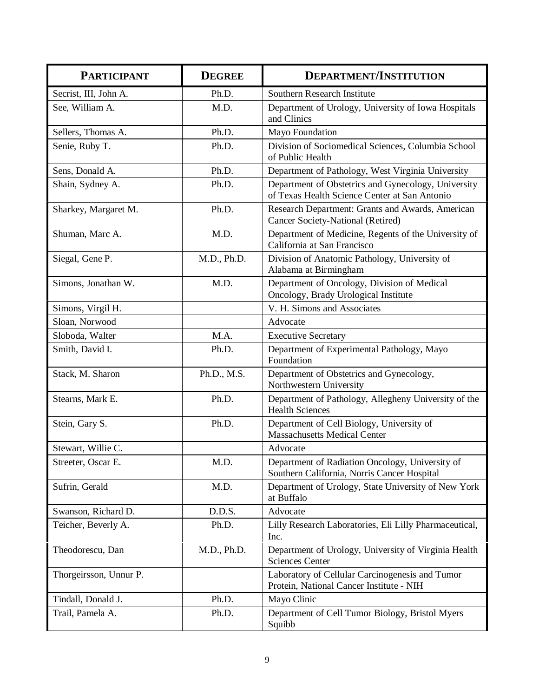| <b>PARTICIPANT</b>     | <b>DEGREE</b> | <b>DEPARTMENT/INSTITUTION</b>                                                                        |
|------------------------|---------------|------------------------------------------------------------------------------------------------------|
| Secrist, III, John A.  | Ph.D.         | Southern Research Institute                                                                          |
| See, William A.        | M.D.          | Department of Urology, University of Iowa Hospitals<br>and Clinics                                   |
| Sellers, Thomas A.     | Ph.D.         | Mayo Foundation                                                                                      |
| Senie, Ruby T.         | Ph.D.         | Division of Sociomedical Sciences, Columbia School<br>of Public Health                               |
| Sens, Donald A.        | Ph.D.         | Department of Pathology, West Virginia University                                                    |
| Shain, Sydney A.       | Ph.D.         | Department of Obstetrics and Gynecology, University<br>of Texas Health Science Center at San Antonio |
| Sharkey, Margaret M.   | Ph.D.         | Research Department: Grants and Awards, American<br>Cancer Society-National (Retired)                |
| Shuman, Marc A.        | M.D.          | Department of Medicine, Regents of the University of<br>California at San Francisco                  |
| Siegal, Gene P.        | M.D., Ph.D.   | Division of Anatomic Pathology, University of<br>Alabama at Birmingham                               |
| Simons, Jonathan W.    | M.D.          | Department of Oncology, Division of Medical<br>Oncology, Brady Urological Institute                  |
| Simons, Virgil H.      |               | V. H. Simons and Associates                                                                          |
| Sloan, Norwood         |               | Advocate                                                                                             |
| Sloboda, Walter        | M.A.          | <b>Executive Secretary</b>                                                                           |
| Smith, David I.        | Ph.D.         | Department of Experimental Pathology, Mayo<br>Foundation                                             |
| Stack, M. Sharon       | Ph.D., M.S.   | Department of Obstetrics and Gynecology,<br>Northwestern University                                  |
| Stearns, Mark E.       | Ph.D.         | Department of Pathology, Allegheny University of the<br><b>Health Sciences</b>                       |
| Stein, Gary S.         | Ph.D.         | Department of Cell Biology, University of<br><b>Massachusetts Medical Center</b>                     |
| Stewart, Willie C.     |               | Advocate                                                                                             |
| Streeter, Oscar E.     | M.D.          | Department of Radiation Oncology, University of<br>Southern California, Norris Cancer Hospital       |
| Sufrin, Gerald         | M.D.          | Department of Urology, State University of New York<br>at Buffalo                                    |
| Swanson, Richard D.    | D.D.S.        | Advocate                                                                                             |
| Teicher, Beverly A.    | Ph.D.         | Lilly Research Laboratories, Eli Lilly Pharmaceutical,<br>Inc.                                       |
| Theodorescu, Dan       | M.D., Ph.D.   | Department of Urology, University of Virginia Health<br><b>Sciences Center</b>                       |
| Thorgeirsson, Unnur P. |               | Laboratory of Cellular Carcinogenesis and Tumor<br>Protein, National Cancer Institute - NIH          |
| Tindall, Donald J.     | Ph.D.         | Mayo Clinic                                                                                          |
| Trail, Pamela A.       | Ph.D.         | Department of Cell Tumor Biology, Bristol Myers<br>Squibb                                            |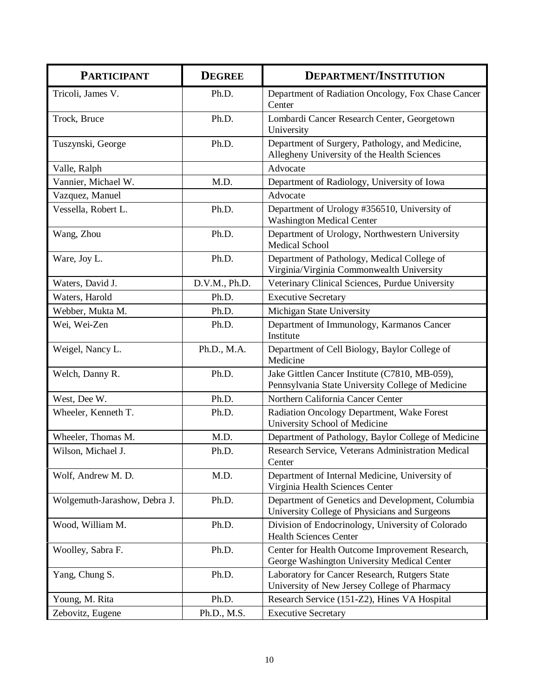| <b>PARTICIPANT</b>           | <b>DEGREE</b> | <b>DEPARTMENT/INSTITUTION</b>                                                                       |
|------------------------------|---------------|-----------------------------------------------------------------------------------------------------|
| Tricoli, James V.            | Ph.D.         | Department of Radiation Oncology, Fox Chase Cancer<br>Center                                        |
| Trock, Bruce                 | Ph.D.         | Lombardi Cancer Research Center, Georgetown<br>University                                           |
| Tuszynski, George            | Ph.D.         | Department of Surgery, Pathology, and Medicine,<br>Allegheny University of the Health Sciences      |
| Valle, Ralph                 |               | Advocate                                                                                            |
| Vannier, Michael W.          | M.D.          | Department of Radiology, University of Iowa                                                         |
| Vazquez, Manuel              |               | Advocate                                                                                            |
| Vessella, Robert L.          | Ph.D.         | Department of Urology #356510, University of<br><b>Washington Medical Center</b>                    |
| Wang, Zhou                   | Ph.D.         | Department of Urology, Northwestern University<br><b>Medical School</b>                             |
| Ware, Joy L.                 | Ph.D.         | Department of Pathology, Medical College of<br>Virginia/Virginia Commonwealth University            |
| Waters, David J.             | D.V.M., Ph.D. | Veterinary Clinical Sciences, Purdue University                                                     |
| Waters, Harold               | Ph.D.         | <b>Executive Secretary</b>                                                                          |
| Webber, Mukta M.             | Ph.D.         | Michigan State University                                                                           |
| Wei, Wei-Zen                 | Ph.D.         | Department of Immunology, Karmanos Cancer<br>Institute                                              |
| Weigel, Nancy L.             | Ph.D., M.A.   | Department of Cell Biology, Baylor College of<br>Medicine                                           |
| Welch, Danny R.              | Ph.D.         | Jake Gittlen Cancer Institute (C7810, MB-059),<br>Pennsylvania State University College of Medicine |
| West, Dee W.                 | Ph.D.         | Northern California Cancer Center                                                                   |
| Wheeler, Kenneth T.          | Ph.D.         | Radiation Oncology Department, Wake Forest<br>University School of Medicine                         |
| Wheeler, Thomas M.           | M.D.          | Department of Pathology, Baylor College of Medicine                                                 |
| Wilson, Michael J.           | Ph.D.         | Research Service, Veterans Administration Medical<br>Center                                         |
| Wolf, Andrew M. D.           | M.D.          | Department of Internal Medicine, University of<br>Virginia Health Sciences Center                   |
| Wolgemuth-Jarashow, Debra J. | Ph.D.         | Department of Genetics and Development, Columbia<br>University College of Physicians and Surgeons   |
| Wood, William M.             | Ph.D.         | Division of Endocrinology, University of Colorado<br><b>Health Sciences Center</b>                  |
| Woolley, Sabra F.            | Ph.D.         | Center for Health Outcome Improvement Research,<br>George Washington University Medical Center      |
| Yang, Chung S.               | Ph.D.         | Laboratory for Cancer Research, Rutgers State<br>University of New Jersey College of Pharmacy       |
| Young, M. Rita               | Ph.D.         | Research Service (151-Z2), Hines VA Hospital                                                        |
| Zebovitz, Eugene             | Ph.D., M.S.   | <b>Executive Secretary</b>                                                                          |